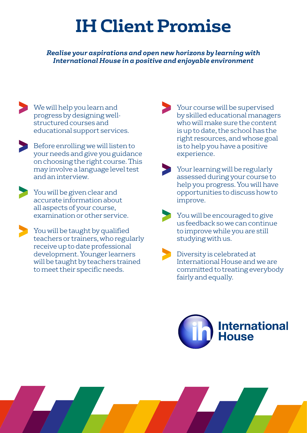## **IH Client Promise**

*Realise your aspirations and open new horizons by learning with International House in a positive and enjoyable environment*

- We will help you learn and progress by designing wellstructured courses and educational support services.
- Before enrolling we will listen to your needs and give you guidance on choosing the right course. This may involve a language level test and an interview.
- You will be given clear and accurate information about all aspects of your course, examination or other service.
- You will be taught by qualified teachers or trainers, who regularly receive up to date professional development. Younger learners will be taught by teachers trained to meet their specific needs.
- Your course will be supervised by skilled educational managers who will make sure the content is up to date, the school has the right resources, and whose goal is to help you have a positive experience.
- Your learning will be regularly assessed during your course to help you progress. You will have opportunities to discuss how to improve.
- You will be encouraged to give us feedback so we can continue to improve while you are still studying with us.
- Diversity is celebrated at International House and we are committed to treating everybody fairly and equally.